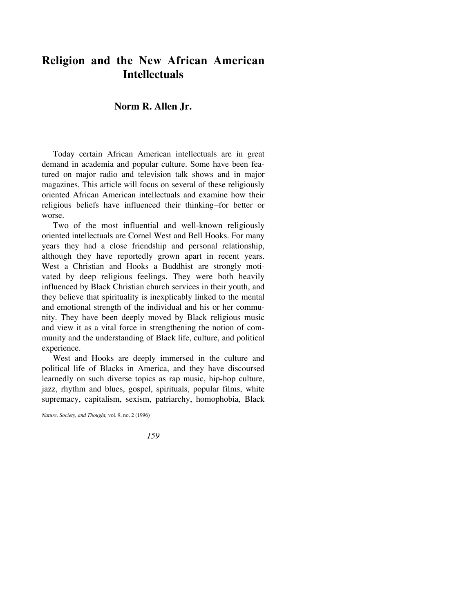## **Religion and the New African American Intellectuals**

## **Norm R. Allen Jr.**

Today certain African American intellectuals are in great demand in academia and popular culture. Some have been featured on major radio and television talk shows and in major magazines. This article will focus on several of these religiously oriented African American intellectuals and examine how their religious beliefs have influenced their thinking–for better or worse.

Two of the most influential and well-known religiously oriented intellectuals are Cornel West and Bell Hooks. For many years they had a close friendship and personal relationship, although they have reportedly grown apart in recent years. West-a Christian-and Hooks-a Buddhist-are strongly motivated by deep religious feelings. They were both heavily influenced by Black Christian church services in their youth, and they believe that spirituality is inexplicably linked to the mental and emotional strength of the individual and his or her community. They have been deeply moved by Black religious music and view it as a vital force in strengthening the notion of community and the understanding of Black life, culture, and political experience.

West and Hooks are deeply immersed in the culture and political life of Blacks in America, and they have discoursed learnedly on such diverse topics as rap music, hip-hop culture, jazz, rhythm and blues, gospel, spirituals, popular films, white supremacy, capitalism, sexism, patriarchy, homophobia, Black

*Nature, Society, and Thought,* vol. 9, no. 2 (1996)

*159*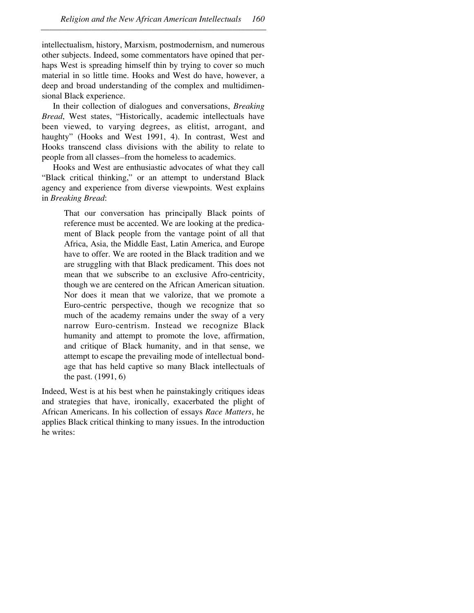intellectualism, history, Marxism, postmodernism, and numerous other subjects. Indeed, some commentators have opined that perhaps West is spreading himself thin by trying to cover so much material in so little time. Hooks and West do have, however, a deep and broad understanding of the complex and multidimensional Black experience.

–––––––––––––––––––––––––––––––––––––––––––––––––––––

In their collection of dialogues and conversations, *Breaking Bread*, West states, "Historically, academic intellectuals have been viewed, to varying degrees, as elitist, arrogant, and haughty" (Hooks and West 1991, 4). In contrast, West and Hooks transcend class divisions with the ability to relate to people from all classes-from the homeless to academics.

Hooks and West are enthusiastic advocates of what they call "Black critical thinking," or an attempt to understand Black agency and experience from diverse viewpoints. West explains in *Breaking Bread*:

That our conversation has principally Black points of reference must be accented. We are looking at the predicament of Black people from the vantage point of all that Africa, Asia, the Middle East, Latin America, and Europe have to offer. We are rooted in the Black tradition and we are struggling with that Black predicament. This does not mean that we subscribe to an exclusive Afro-centricity, though we are centered on the African American situation. Nor does it mean that we valorize, that we promote a Euro-centric perspective, though we recognize that so much of the academy remains under the sway of a very narrow Euro-centrism. Instead we recognize Black humanity and attempt to promote the love, affirmation, and critique of Black humanity, and in that sense, we attempt to escape the prevailing mode of intellectual bondage that has held captive so many Black intellectuals of the past. (1991, 6)

Indeed, West is at his best when he painstakingly critiques ideas and strategies that have, ironically, exacerbated the plight of African Americans. In his collection of essays *Race Matters*, he applies Black critical thinking to many issues. In the introduction he writes: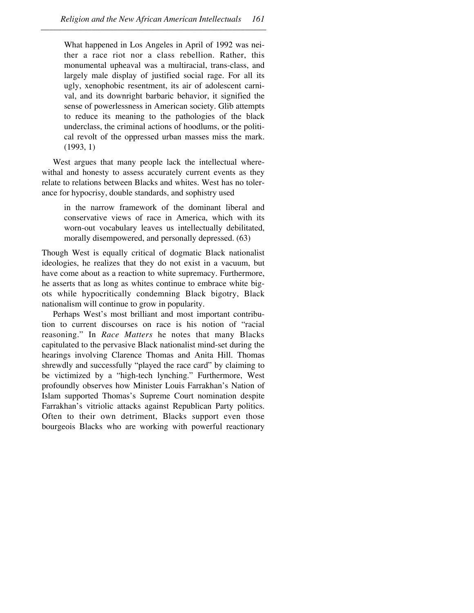What happened in Los Angeles in April of 1992 was neither a race riot nor a class rebellion. Rather, this monumental upheaval was a multiracial, trans-class, and largely male display of justified social rage. For all its ugly, xenophobic resentment, its air of adolescent carnival, and its downright barbaric behavior, it signified the sense of powerlessness in American society. Glib attempts to reduce its meaning to the pathologies of the black underclass, the criminal actions of hoodlums, or the political revolt of the oppressed urban masses miss the mark. (1993, 1)

West argues that many people lack the intellectual wherewithal and honesty to assess accurately current events as they relate to relations between Blacks and whites. West has no tolerance for hypocrisy, double standards, and sophistry used

in the narrow framework of the dominant liberal and conservative views of race in America, which with its worn-out vocabulary leaves us intellectually debilitated, morally disempowered, and personally depressed. (63)

Though West is equally critical of dogmatic Black nationalist ideologies, he realizes that they do not exist in a vacuum, but have come about as a reaction to white supremacy. Furthermore, he asserts that as long as whites continue to embrace white bigots while hypocritically condemning Black bigotry, Black nationalism will continue to grow in popularity.

Perhaps West's most brilliant and most important contribution to current discourses on race is his notion of "racial reasoning." In *Race Matters* he notes that many Blacks capitulated to the pervasive Black nationalist mind-set during the hearings involving Clarence Thomas and Anita Hill. Thomas shrewdly and successfully "played the race card" by claiming to be victimized by a "high-tech lynching." Furthermore, West profoundly observes how Minister Louis Farrakhan's Nation of Islam supported Thomas's Supreme Court nomination despite Farrakhan's vitriolic attacks against Republican Party politics. Often to their own detriment, Blacks support even those bourgeois Blacks who are working with powerful reactionary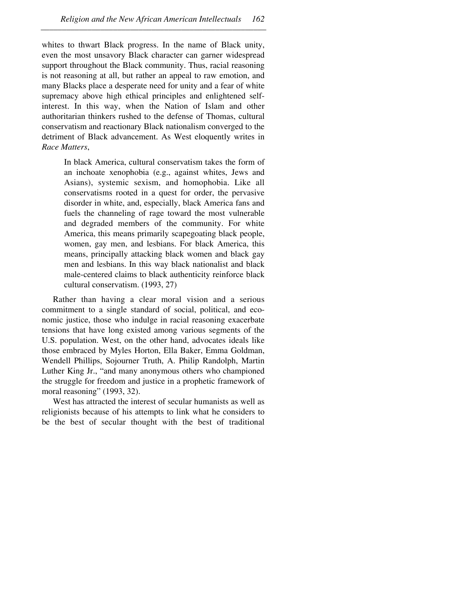whites to thwart Black progress. In the name of Black unity, even the most unsavory Black character can garner widespread support throughout the Black community. Thus, racial reasoning is not reasoning at all, but rather an appeal to raw emotion, and many Blacks place a desperate need for unity and a fear of white supremacy above high ethical principles and enlightened selfinterest. In this way, when the Nation of Islam and other authoritarian thinkers rushed to the defense of Thomas, cultural conservatism and reactionary Black nationalism converged to the detriment of Black advancement. As West eloquently writes in *Race Matters*,

In black America, cultural conservatism takes the form of an inchoate xenophobia (e.g., against whites, Jews and Asians), systemic sexism, and homophobia. Like all conservatisms rooted in a quest for order, the pervasive disorder in white, and, especially, black America fans and fuels the channeling of rage toward the most vulnerable and degraded members of the community. For white America, this means primarily scapegoating black people, women, gay men, and lesbians. For black America, this means, principally attacking black women and black gay men and lesbians. In this way black nationalist and black male-centered claims to black authenticity reinforce black cultural conservatism. (1993, 27)

Rather than having a clear moral vision and a serious commitment to a single standard of social, political, and economic justice, those who indulge in racial reasoning exacerbate tensions that have long existed among various segments of the U.S. population. West, on the other hand, advocates ideals like those embraced by Myles Horton, Ella Baker, Emma Goldman, Wendell Phillips, Sojourner Truth, A. Philip Randolph, Martin Luther King Jr., "and many anonymous others who championed the struggle for freedom and justice in a prophetic framework of moral reasoning" (1993, 32).

West has attracted the interest of secular humanists as well as religionists because of his attempts to link what he considers to be the best of secular thought with the best of traditional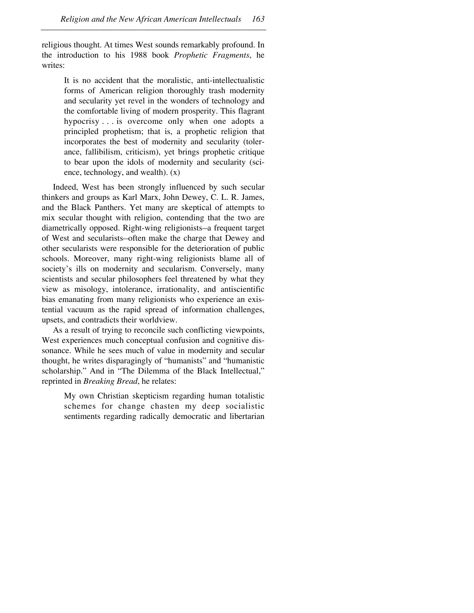religious thought. At times West sounds remarkably profound. In the introduction to his 1988 book *Prophetic Fragments*, he writes:

–––––––––––––––––––––––––––––––––––––––––––––––––––––

It is no accident that the moralistic, anti-intellectualistic forms of American religion thoroughly trash modernity and secularity yet revel in the wonders of technology and the comfortable living of modern prosperity. This flagrant hypocrisy . . . is overcome only when one adopts a principled prophetism; that is, a prophetic religion that incorporates the best of modernity and secularity (tolerance, fallibilism, criticism), yet brings prophetic critique to bear upon the idols of modernity and secularity (science, technology, and wealth). (x)

Indeed, West has been strongly influenced by such secular thinkers and groups as Karl Marx, John Dewey, C. L. R. James, and the Black Panthers. Yet many are skeptical of attempts to mix secular thought with religion, contending that the two are diametrically opposed. Right-wing religionists-a frequent target of West and secularists-often make the charge that Dewey and other secularists were responsible for the deterioration of public schools. Moreover, many right-wing religionists blame all of society's ills on modernity and secularism. Conversely, many scientists and secular philosophers feel threatened by what they view as misology, intolerance, irrationality, and antiscientific bias emanating from many religionists who experience an existential vacuum as the rapid spread of information challenges, upsets, and contradicts their worldview.

As a result of trying to reconcile such conflicting viewpoints, West experiences much conceptual confusion and cognitive dissonance. While he sees much of value in modernity and secular thought, he writes disparagingly of "humanists" and "humanistic scholarship." And in "The Dilemma of the Black Intellectual," reprinted in *Breaking Bread*, he relates:

My own Christian skepticism regarding human totalistic schemes for change chasten my deep socialistic sentiments regarding radically democratic and libertarian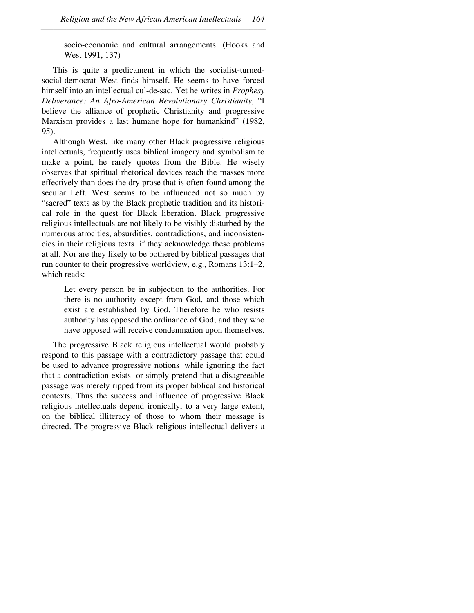socio-economic and cultural arrangements. (Hooks and West 1991, 137)

This is quite a predicament in which the socialist-turnedsocial-democrat West finds himself. He seems to have forced himself into an intellectual cul-de-sac. Yet he writes in *Prophesy Deliverance: An Afro-American Revolutionary Christianity*, "I believe the alliance of prophetic Christianity and progressive Marxism provides a last humane hope for humankind" (1982, 95).

Although West, like many other Black progressive religious intellectuals, frequently uses biblical imagery and symbolism to make a point, he rarely quotes from the Bible. He wisely observes that spiritual rhetorical devices reach the masses more effectively than does the dry prose that is often found among the secular Left. West seems to be influenced not so much by "sacred" texts as by the Black prophetic tradition and its historical role in the quest for Black liberation. Black progressive religious intellectuals are not likely to be visibly disturbed by the numerous atrocities, absurdities, contradictions, and inconsistencies in their religious texts-if they acknowledge these problems at all. Nor are they likely to be bothered by biblical passages that run counter to their progressive worldview, e.g., Romans 13:1–2, which reads:

Let every person be in subjection to the authorities. For there is no authority except from God, and those which exist are established by God. Therefore he who resists authority has opposed the ordinance of God; and they who have opposed will receive condemnation upon themselves.

The progressive Black religious intellectual would probably respond to this passage with a contradictory passage that could be used to advance progressive notions—while ignoring the fact that a contradiction exists or simply pretend that a disagreeable passage was merely ripped from its proper biblical and historical contexts. Thus the success and influence of progressive Black religious intellectuals depend ironically, to a very large extent, on the biblical illiteracy of those to whom their message is directed. The progressive Black religious intellectual delivers a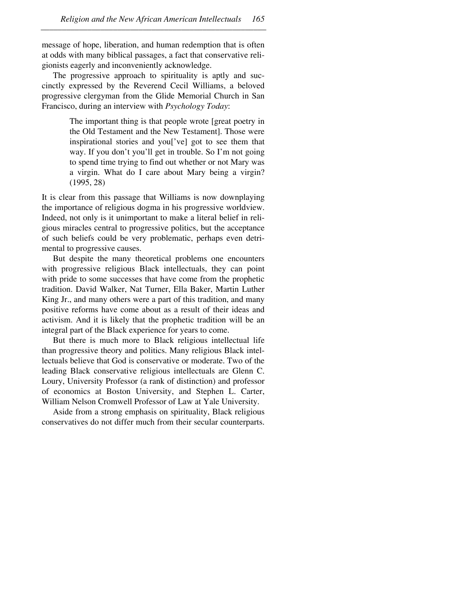message of hope, liberation, and human redemption that is often at odds with many biblical passages, a fact that conservative religionists eagerly and inconveniently acknowledge.

–––––––––––––––––––––––––––––––––––––––––––––––––––––

The progressive approach to spirituality is aptly and succinctly expressed by the Reverend Cecil Williams, a beloved progressive clergyman from the Glide Memorial Church in San Francisco, during an interview with *Psychology Today*:

> The important thing is that people wrote [great poetry in the Old Testament and the New Testament]. Those were inspirational stories and you['ve] got to see them that way. If you don't you'll get in trouble. So I'm not going to spend time trying to find out whether or not Mary was a virgin. What do I care about Mary being a virgin? (1995, 28)

It is clear from this passage that Williams is now downplaying the importance of religious dogma in his progressive worldview. Indeed, not only is it unimportant to make a literal belief in religious miracles central to progressive politics, but the acceptance of such beliefs could be very problematic, perhaps even detrimental to progressive causes.

But despite the many theoretical problems one encounters with progressive religious Black intellectuals, they can point with pride to some successes that have come from the prophetic tradition. David Walker, Nat Turner, Ella Baker, Martin Luther King Jr., and many others were a part of this tradition, and many positive reforms have come about as a result of their ideas and activism. And it is likely that the prophetic tradition will be an integral part of the Black experience for years to come.

But there is much more to Black religious intellectual life than progressive theory and politics. Many religious Black intellectuals believe that God is conservative or moderate. Two of the leading Black conservative religious intellectuals are Glenn C. Loury, University Professor (a rank of distinction) and professor of economics at Boston University, and Stephen L. Carter, William Nelson Cromwell Professor of Law at Yale University.

Aside from a strong emphasis on spirituality, Black religious conservatives do not differ much from their secular counterparts.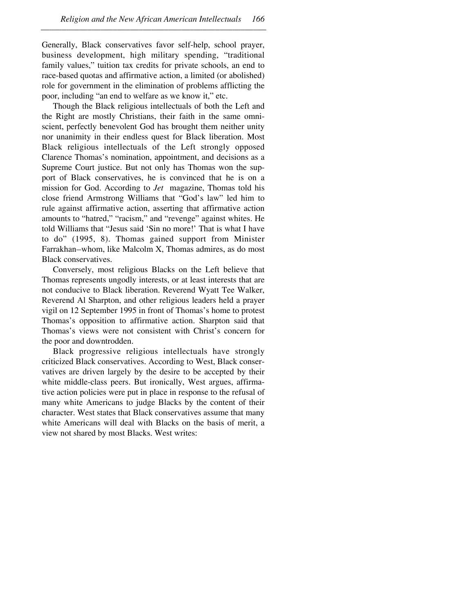Generally, Black conservatives favor self-help, school prayer, business development, high military spending, "traditional family values," tuition tax credits for private schools, an end to race-based quotas and affirmative action, a limited (or abolished) role for government in the elimination of problems afflicting the poor, including "an end to welfare as we know it," etc.

–––––––––––––––––––––––––––––––––––––––––––––––––––––

Though the Black religious intellectuals of both the Left and the Right are mostly Christians, their faith in the same omniscient, perfectly benevolent God has brought them neither unity nor unanimity in their endless quest for Black liberation. Most Black religious intellectuals of the Left strongly opposed Clarence Thomas's nomination, appointment, and decisions as a Supreme Court justice. But not only has Thomas won the support of Black conservatives, he is convinced that he is on a mission for God. According to *Jet* magazine, Thomas told his close friend Armstrong Williams that "God's law" led him to rule against affirmative action, asserting that affirmative action amounts to "hatred," "racism," and "revenge" against whites. He told Williams that "Jesus said 'Sin no more!' That is what I have to do" (1995, 8). Thomas gained support from Minister Farrakhan-whom, like Malcolm X, Thomas admires, as do most Black conservatives.

Conversely, most religious Blacks on the Left believe that Thomas represents ungodly interests, or at least interests that are not conducive to Black liberation. Reverend Wyatt Tee Walker, Reverend Al Sharpton, and other religious leaders held a prayer vigil on 12 September 1995 in front of Thomas's home to protest Thomas's opposition to affirmative action. Sharpton said that Thomas's views were not consistent with Christ's concern for the poor and downtrodden.

Black progressive religious intellectuals have strongly criticized Black conservatives. According to West, Black conservatives are driven largely by the desire to be accepted by their white middle-class peers. But ironically, West argues, affirmative action policies were put in place in response to the refusal of many white Americans to judge Blacks by the content of their character. West states that Black conservatives assume that many white Americans will deal with Blacks on the basis of merit, a view not shared by most Blacks. West writes: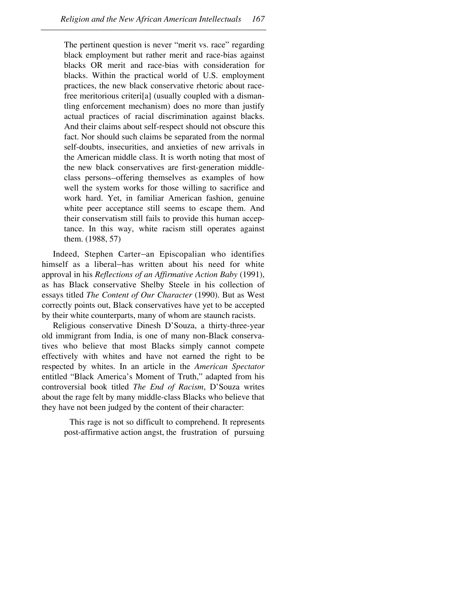The pertinent question is never "merit vs. race" regarding black employment but rather merit and race-bias against blacks OR merit and race-bias with consideration for blacks. Within the practical world of U.S. employment practices, the new black conservative rhetoric about racefree meritorious criteri[a] (usually coupled with a dismantling enforcement mechanism) does no more than justify actual practices of racial discrimination against blacks. And their claims about self-respect should not obscure this fact. Nor should such claims be separated from the normal self-doubts, insecurities, and anxieties of new arrivals in the American middle class. It is worth noting that most of the new black conservatives are first-generation middleclass persons-offering themselves as examples of how well the system works for those willing to sacrifice and work hard. Yet, in familiar American fashion, genuine white peer acceptance still seems to escape them. And their conservatism still fails to provide this human acceptance. In this way, white racism still operates against them. (1988, 57)

Indeed, Stephen Carter-an Episcopalian who identifies himself as a liberal-has written about his need for white approval in his *Reflections of an Affirmative Action Baby* (1991), as has Black conservative Shelby Steele in his collection of essays titled *The Content of Our Character* (1990). But as West correctly points out, Black conservatives have yet to be accepted by their white counterparts, many of whom are staunch racists.

Religious conservative Dinesh D'Souza, a thirty-three-year old immigrant from India, is one of many non-Black conservatives who believe that most Blacks simply cannot compete effectively with whites and have not earned the right to be respected by whites. In an article in the *American Spectator* entitled "Black America's Moment of Truth," adapted from his controversial book titled *The End of Racism*, D'Souza writes about the rage felt by many middle-class Blacks who believe that they have not been judged by the content of their character:

This rage is not so difficult to comprehend. It represents post-affirmative action angst, the frustration of pursuing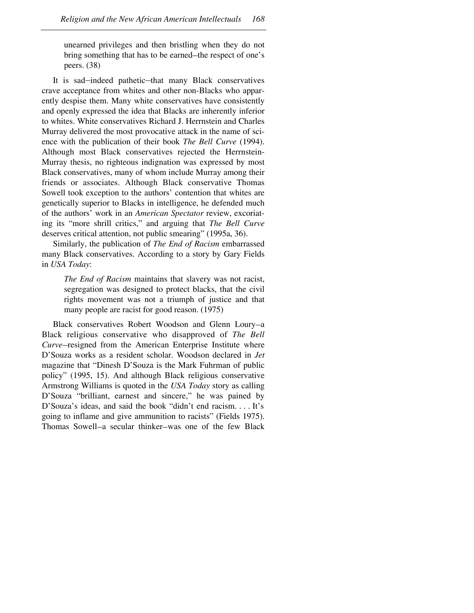unearned privileges and then bristling when they do not bring something that has to be earned—the respect of one's peers. (38)

It is sad-indeed pathetic-that many Black conservatives crave acceptance from whites and other non-Blacks who apparently despise them. Many white conservatives have consistently and openly expressed the idea that Blacks are inherently inferior to whites. White conservatives Richard J. Herrnstein and Charles Murray delivered the most provocative attack in the name of science with the publication of their book *The Bell Curve* (1994). Although most Black conservatives rejected the Herrnstein-Murray thesis, no righteous indignation was expressed by most Black conservatives, many of whom include Murray among their friends or associates. Although Black conservative Thomas Sowell took exception to the authors' contention that whites are genetically superior to Blacks in intelligence, he defended much of the authors' work in an *American Spectator* review, excoriating its "more shrill critics," and arguing that *The Bell Curve* deserves critical attention, not public smearing" (1995a, 36).

Similarly, the publication of *The End of Racism* embarrassed many Black conservatives. According to a story by Gary Fields in *USA Today*:

*The End of Racism* maintains that slavery was not racist, segregation was designed to protect blacks, that the civil rights movement was not a triumph of justice and that many people are racist for good reason. (1975)

Black conservatives Robert Woodson and Glenn Loury-a Black religious conservative who disapproved of *The Bell Curve*-resigned from the American Enterprise Institute where D'Souza works as a resident scholar. Woodson declared in *Jet* magazine that "Dinesh D'Souza is the Mark Fuhrman of public policy" (1995, 15). And although Black religious conservative Armstrong Williams is quoted in the *USA Today* story as calling D'Souza "brilliant, earnest and sincere," he was pained by D'Souza's ideas, and said the book "didn't end racism.... It's going to inflame and give ammunition to racists" (Fields 1975). Thomas Sowell-a secular thinker-was one of the few Black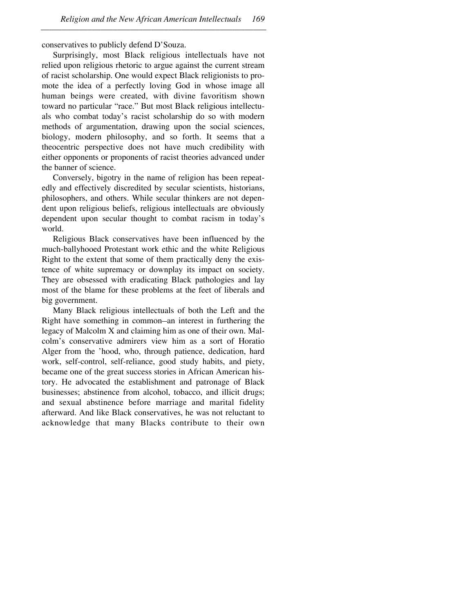conservatives to publicly defend D'Souza.

Surprisingly, most Black religious intellectuals have not relied upon religious rhetoric to argue against the current stream of racist scholarship. One would expect Black religionists to promote the idea of a perfectly loving God in whose image all human beings were created, with divine favoritism shown toward no particular "race." But most Black religious intellectuals who combat today's racist scholarship do so with modern methods of argumentation, drawing upon the social sciences, biology, modern philosophy, and so forth. It seems that a theocentric perspective does not have much credibility with either opponents or proponents of racist theories advanced under the banner of science.

Conversely, bigotry in the name of religion has been repeatedly and effectively discredited by secular scientists, historians, philosophers, and others. While secular thinkers are not dependent upon religious beliefs, religious intellectuals are obviously dependent upon secular thought to combat racism in today's world.

Religious Black conservatives have been influenced by the much-ballyhooed Protestant work ethic and the white Religious Right to the extent that some of them practically deny the existence of white supremacy or downplay its impact on society. They are obsessed with eradicating Black pathologies and lay most of the blame for these problems at the feet of liberals and big government.

Many Black religious intellectuals of both the Left and the Right have something in common-an interest in furthering the legacy of Malcolm X and claiming him as one of their own. Malcolm's conservative admirers view him as a sort of Horatio Alger from the 'hood, who, through patience, dedication, hard work, self-control, self-reliance, good study habits, and piety, became one of the great success stories in African American history. He advocated the establishment and patronage of Black businesses; abstinence from alcohol, tobacco, and illicit drugs; and sexual abstinence before marriage and marital fidelity afterward. And like Black conservatives, he was not reluctant to acknowledge that many Blacks contribute to their own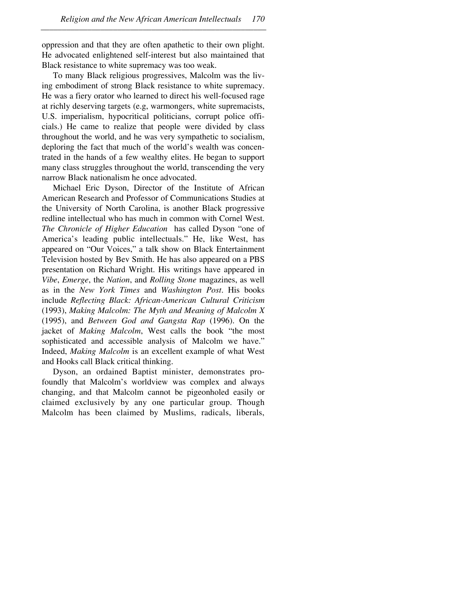oppression and that they are often apathetic to their own plight. He advocated enlightened self-interest but also maintained that Black resistance to white supremacy was too weak.

–––––––––––––––––––––––––––––––––––––––––––––––––––––

To many Black religious progressives, Malcolm was the living embodiment of strong Black resistance to white supremacy. He was a fiery orator who learned to direct his well-focused rage at richly deserving targets (e.g, warmongers, white supremacists, U.S. imperialism, hypocritical politicians, corrupt police officials.) He came to realize that people were divided by class throughout the world, and he was very sympathetic to socialism, deploring the fact that much of the world's wealth was concentrated in the hands of a few wealthy elites. He began to support many class struggles throughout the world, transcending the very narrow Black nationalism he once advocated.

Michael Eric Dyson, Director of the Institute of African American Research and Professor of Communications Studies at the University of North Carolina, is another Black progressive redline intellectual who has much in common with Cornel West. *The Chronicle of Higher Education* has called Dyson "one of America's leading public intellectuals." He, like West, has appeared on "Our Voices," a talk show on Black Entertainment Television hosted by Bev Smith. He has also appeared on a PBS presentation on Richard Wright. His writings have appeared in *Vibe*, *Emerge*, the *Nation*, and *Rolling Stone* magazines, as well as in the *New York Times* and *Washington Post*. His books include *Reflecting Black: African-American Cultural Criticism* (1993), *Making Malcolm: The Myth and Meaning of Malcolm X* (1995), and *Between God and Gangsta Rap* (1996). On the jacket of *Making Malcolm*, West calls the book "the most sophisticated and accessible analysis of Malcolm we have." Indeed, *Making Malcolm* is an excellent example of what West and Hooks call Black critical thinking.

Dyson, an ordained Baptist minister, demonstrates profoundly that Malcolm's worldview was complex and always changing, and that Malcolm cannot be pigeonholed easily or claimed exclusively by any one particular group. Though Malcolm has been claimed by Muslims, radicals, liberals,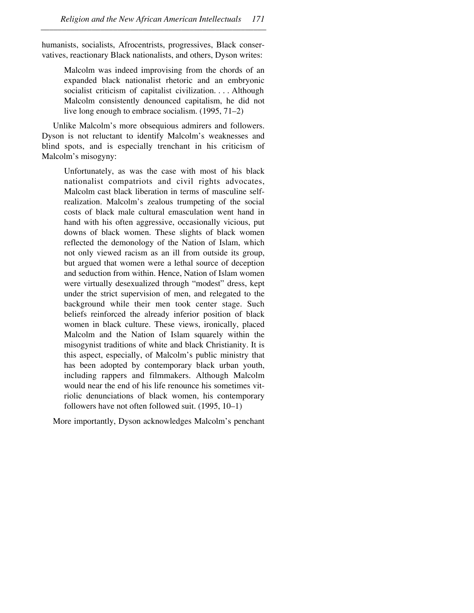humanists, socialists, Afrocentrists, progressives, Black conservatives, reactionary Black nationalists, and others, Dyson writes:

–––––––––––––––––––––––––––––––––––––––––––––––––––––

Malcolm was indeed improvising from the chords of an expanded black nationalist rhetoric and an embryonic socialist criticism of capitalist civilization.... Although Malcolm consistently denounced capitalism, he did not live long enough to embrace socialism. (1995, 71–2)

Unlike Malcolm's more obsequious admirers and followers. Dyson is not reluctant to identify Malcolm's weaknesses and blind spots, and is especially trenchant in his criticism of Malcolm's misogyny:

Unfortunately, as was the case with most of his black nationalist compatriots and civil rights advocates, Malcolm cast black liberation in terms of masculine selfrealization. Malcolm's zealous trumpeting of the social costs of black male cultural emasculation went hand in hand with his often aggressive, occasionally vicious, put downs of black women. These slights of black women reflected the demonology of the Nation of Islam, which not only viewed racism as an ill from outside its group, but argued that women were a lethal source of deception and seduction from within. Hence, Nation of Islam women were virtually desexualized through "modest" dress, kept under the strict supervision of men, and relegated to the background while their men took center stage. Such beliefs reinforced the already inferior position of black women in black culture. These views, ironically, placed Malcolm and the Nation of Islam squarely within the misogynist traditions of white and black Christianity. It is this aspect, especially, of Malcolm's public ministry that has been adopted by contemporary black urban youth, including rappers and filmmakers. Although Malcolm would near the end of his life renounce his sometimes vitriolic denunciations of black women, his contemporary followers have not often followed suit. (1995, 10–1)

More importantly, Dyson acknowledges Malcolm's penchant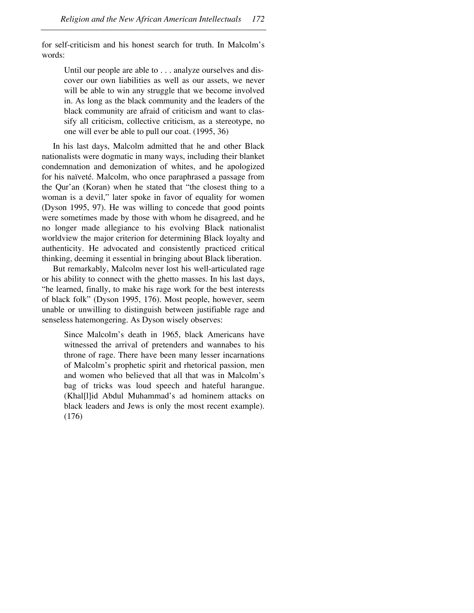for self-criticism and his honest search for truth. In Malcolm's words:

–––––––––––––––––––––––––––––––––––––––––––––––––––––

Until our people are able to... analyze ourselves and discover our own liabilities as well as our assets, we never will be able to win any struggle that we become involved in. As long as the black community and the leaders of the black community are afraid of criticism and want to classify all criticism, collective criticism, as a stereotype, no one will ever be able to pull our coat. (1995, 36)

In his last days, Malcolm admitted that he and other Black nationalists were dogmatic in many ways, including their blanket condemnation and demonization of whites, and he apologized for his naïveté. Malcolm, who once paraphrased a passage from the Qur'an (Koran) when he stated that "the closest thing to a woman is a devil," later spoke in favor of equality for women (Dyson 1995, 97). He was willing to concede that good points were sometimes made by those with whom he disagreed, and he no longer made allegiance to his evolving Black nationalist worldview the major criterion for determining Black loyalty and authenticity. He advocated and consistently practiced critical thinking, deeming it essential in bringing about Black liberation.

But remarkably, Malcolm never lost his well-articulated rage or his ability to connect with the ghetto masses. In his last days, "he learned, finally, to make his rage work for the best interests of black folk" (Dyson 1995, 176). Most people, however, seem unable or unwilling to distinguish between justifiable rage and senseless hatemongering. As Dyson wisely observes:

Since Malcolm's death in 1965, black Americans have witnessed the arrival of pretenders and wannabes to his throne of rage. There have been many lesser incarnations of Malcolm's prophetic spirit and rhetorical passion, men and women who believed that all that was in Malcolm's bag of tricks was loud speech and hateful harangue. (Khal[l]id Abdul Muhammad's ad hominem attacks on black leaders and Jews is only the most recent example). (176)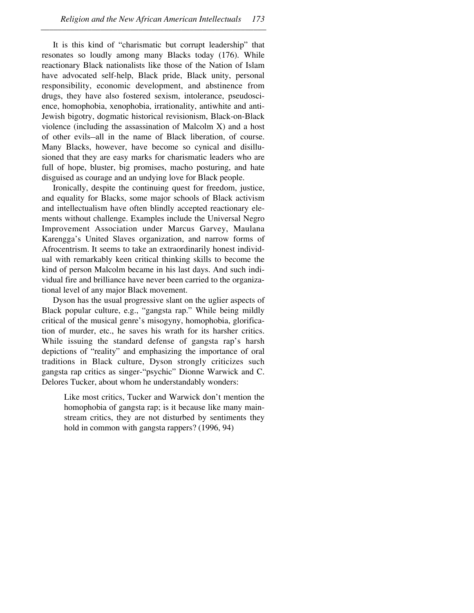It is this kind of "charismatic but corrupt leadership" that resonates so loudly among many Blacks today (176). While reactionary Black nationalists like those of the Nation of Islam have advocated self-help, Black pride, Black unity, personal responsibility, economic development, and abstinence from drugs, they have also fostered sexism, intolerance, pseudoscience, homophobia, xenophobia, irrationality, antiwhite and anti-Jewish bigotry, dogmatic historical revisionism, Black-on-Black violence (including the assassination of Malcolm X) and a host of other evils-all in the name of Black liberation, of course. Many Blacks, however, have become so cynical and disillusioned that they are easy marks for charismatic leaders who are full of hope, bluster, big promises, macho posturing, and hate disguised as courage and an undying love for Black people.

Ironically, despite the continuing quest for freedom, justice, and equality for Blacks, some major schools of Black activism and intellectualism have often blindly accepted reactionary elements without challenge. Examples include the Universal Negro Improvement Association under Marcus Garvey, Maulana Karengga's United Slaves organization, and narrow forms of Afrocentrism. It seems to take an extraordinarily honest individual with remarkably keen critical thinking skills to become the kind of person Malcolm became in his last days. And such individual fire and brilliance have never been carried to the organizational level of any major Black movement.

Dyson has the usual progressive slant on the uglier aspects of Black popular culture, e.g., "gangsta rap." While being mildly critical of the musical genre's misogyny, homophobia, glorification of murder, etc., he saves his wrath for its harsher critics. While issuing the standard defense of gangsta rap's harsh depictions of "reality" and emphasizing the importance of oral traditions in Black culture, Dyson strongly criticizes such gangsta rap critics as singer-"psychic" Dionne Warwick and C. Delores Tucker, about whom he understandably wonders:

Like most critics, Tucker and Warwick don't mention the homophobia of gangsta rap; is it because like many mainstream critics, they are not disturbed by sentiments they hold in common with gangsta rappers? (1996, 94)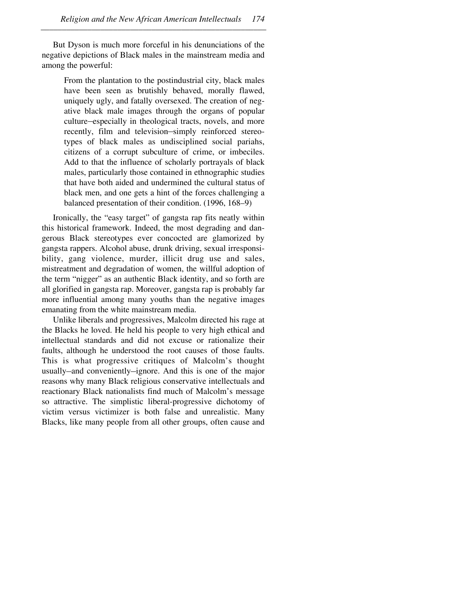But Dyson is much more forceful in his denunciations of the negative depictions of Black males in the mainstream media and among the powerful:

–––––––––––––––––––––––––––––––––––––––––––––––––––––

From the plantation to the postindustrial city, black males have been seen as brutishly behaved, morally flawed, uniquely ugly, and fatally oversexed. The creation of negative black male images through the organs of popular culture–especially in theological tracts, novels, and more recently, film and television-simply reinforced stereotypes of black males as undisciplined social pariahs, citizens of a corrupt subculture of crime, or imbeciles. Add to that the influence of scholarly portrayals of black males, particularly those contained in ethnographic studies that have both aided and undermined the cultural status of black men, and one gets a hint of the forces challenging a balanced presentation of their condition. (1996, 168–9)

Ironically, the "easy target" of gangsta rap fits neatly within this historical framework. Indeed, the most degrading and dangerous Black stereotypes ever concocted are glamorized by gangsta rappers. Alcohol abuse, drunk driving, sexual irresponsibility, gang violence, murder, illicit drug use and sales, mistreatment and degradation of women, the willful adoption of the term "nigger" as an authentic Black identity, and so forth are all glorified in gangsta rap. Moreover, gangsta rap is probably far more influential among many youths than the negative images emanating from the white mainstream media.

Unlike liberals and progressives, Malcolm directed his rage at the Blacks he loved. He held his people to very high ethical and intellectual standards and did not excuse or rationalize their faults, although he understood the root causes of those faults. This is what progressive critiques of Malcolm's thought usually-and conveniently-ignore. And this is one of the major reasons why many Black religious conservative intellectuals and reactionary Black nationalists find much of Malcolm's message so attractive. The simplistic liberal-progressive dichotomy of victim versus victimizer is both false and unrealistic. Many Blacks, like many people from all other groups, often cause and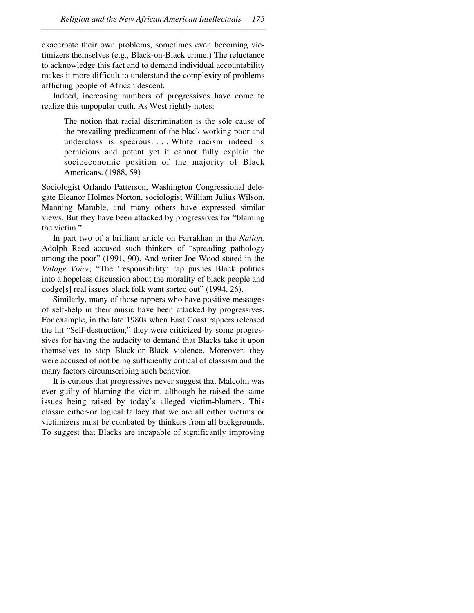exacerbate their own problems, sometimes even becoming victimizers themselves (e.g., Black-on-Black crime.) The reluctance to acknowledge this fact and to demand individual accountability makes it more difficult to understand the complexity of problems afflicting people of African descent.

–––––––––––––––––––––––––––––––––––––––––––––––––––––

Indeed, increasing numbers of progressives have come to realize this unpopular truth. As West rightly notes:

The notion that racial discrimination is the sole cause of the prevailing predicament of the black working poor and underclass is specious. . . . White racism indeed is pernicious and potent-yet it cannot fully explain the socioeconomic position of the majority of Black Americans. (1988, 59)

Sociologist Orlando Patterson, Washington Congressional delegate Eleanor Holmes Norton, sociologist William Julius Wilson, Manning Marable, and many others have expressed similar views. But they have been attacked by progressives for "blaming the victim."

In part two of a brilliant article on Farrakhan in the *Nation,* Adolph Reed accused such thinkers of "spreading pathology among the poor" (1991, 90). And writer Joe Wood stated in the *Village Voice,* "The 'responsibility' rap pushes Black politics into a hopeless discussion about the morality of black people and dodge[s] real issues black folk want sorted out" (1994, 26).

Similarly, many of those rappers who have positive messages of self-help in their music have been attacked by progressives. For example, in the late 1980s when East Coast rappers released the hit "Self-destruction," they were criticized by some progressives for having the audacity to demand that Blacks take it upon themselves to stop Black-on-Black violence. Moreover, they were accused of not being sufficiently critical of classism and the many factors circumscribing such behavior.

It is curious that progressives never suggest that Malcolm was ever guilty of blaming the victim, although he raised the same issues being raised by today's alleged victim-blamers. This classic either-or logical fallacy that we are all either victims or victimizers must be combated by thinkers from all backgrounds. To suggest that Blacks are incapable of significantly improving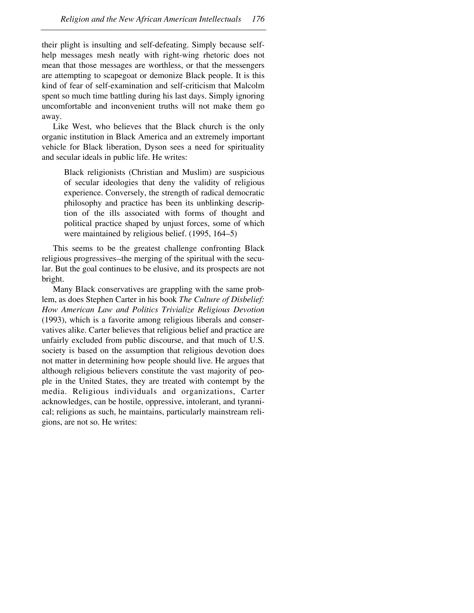their plight is insulting and self-defeating. Simply because selfhelp messages mesh neatly with right-wing rhetoric does not mean that those messages are worthless, or that the messengers are attempting to scapegoat or demonize Black people. It is this kind of fear of self-examination and self-criticism that Malcolm spent so much time battling during his last days. Simply ignoring uncomfortable and inconvenient truths will not make them go away.

–––––––––––––––––––––––––––––––––––––––––––––––––––––

Like West, who believes that the Black church is the only organic institution in Black America and an extremely important vehicle for Black liberation, Dyson sees a need for spirituality and secular ideals in public life. He writes:

Black religionists (Christian and Muslim) are suspicious of secular ideologies that deny the validity of religious experience. Conversely, the strength of radical democratic philosophy and practice has been its unblinking description of the ills associated with forms of thought and political practice shaped by unjust forces, some of which were maintained by religious belief. (1995, 164–5)

This seems to be the greatest challenge confronting Black religious progressives—the merging of the spiritual with the secular. But the goal continues to be elusive, and its prospects are not bright.

Many Black conservatives are grappling with the same problem, as does Stephen Carter in his book *The Culture of Disbelief: How American Law and Politics Trivialize Religious Devotion* (1993), which is a favorite among religious liberals and conservatives alike. Carter believes that religious belief and practice are unfairly excluded from public discourse, and that much of U.S. society is based on the assumption that religious devotion does not matter in determining how people should live. He argues that although religious believers constitute the vast majority of people in the United States, they are treated with contempt by the media. Religious individuals and organizations, Carter acknowledges, can be hostile, oppressive, intolerant, and tyrannical; religions as such, he maintains, particularly mainstream religions, are not so. He writes: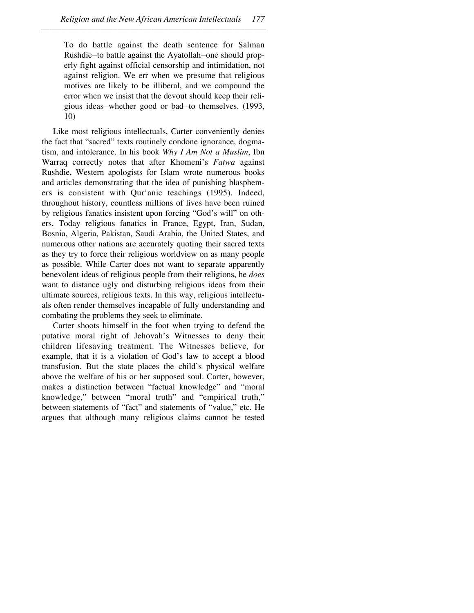To do battle against the death sentence for Salman Rushdie-to battle against the Ayatollah-one should properly fight against official censorship and intimidation, not against religion. We err when we presume that religious motives are likely to be illiberal, and we compound the error when we insist that the devout should keep their religious ideas—whether good or bad—to themselves. (1993, 10)

Like most religious intellectuals, Carter conveniently denies the fact that "sacred" texts routinely condone ignorance, dogmatism, and intolerance. In his book *Why I Am Not a Muslim*, Ibn Warraq correctly notes that after Khomeni's *Fatwa* against Rushdie, Western apologists for Islam wrote numerous books and articles demonstrating that the idea of punishing blasphemers is consistent with Qur'anic teachings (1995). Indeed, throughout history, countless millions of lives have been ruined by religious fanatics insistent upon forcing "God's will" on others. Today religious fanatics in France, Egypt, Iran, Sudan, Bosnia, Algeria, Pakistan, Saudi Arabia, the United States, and numerous other nations are accurately quoting their sacred texts as they try to force their religious worldview on as many people as possible. While Carter does not want to separate apparently benevolent ideas of religious people from their religions, he *does* want to distance ugly and disturbing religious ideas from their ultimate sources, religious texts. In this way, religious intellectuals often render themselves incapable of fully understanding and combating the problems they seek to eliminate.

Carter shoots himself in the foot when trying to defend the putative moral right of Jehovah's Witnesses to deny their children lifesaving treatment. The Witnesses believe, for example, that it is a violation of God's law to accept a blood transfusion. But the state places the child's physical welfare above the welfare of his or her supposed soul. Carter, however, makes a distinction between "factual knowledge" and "moral knowledge," between "moral truth" and "empirical truth," between statements of "fact" and statements of "value," etc. He argues that although many religious claims cannot be tested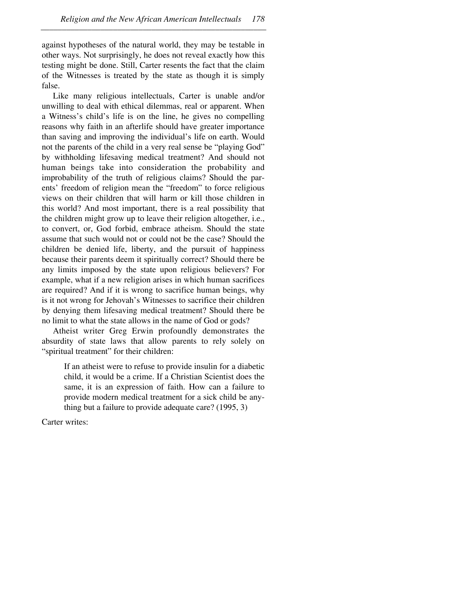against hypotheses of the natural world, they may be testable in other ways. Not surprisingly, he does not reveal exactly how this testing might be done. Still, Carter resents the fact that the claim of the Witnesses is treated by the state as though it is simply false.

–––––––––––––––––––––––––––––––––––––––––––––––––––––

Like many religious intellectuals, Carter is unable and/or unwilling to deal with ethical dilemmas, real or apparent. When a Witness's child's life is on the line, he gives no compelling reasons why faith in an afterlife should have greater importance than saving and improving the individual's life on earth. Would not the parents of the child in a very real sense be "playing God" by withholding lifesaving medical treatment? And should not human beings take into consideration the probability and improbability of the truth of religious claims? Should the parents' freedom of religion mean the "freedom" to force religious views on their children that will harm or kill those children in this world? And most important, there is a real possibility that the children might grow up to leave their religion altogether, i.e., to convert, or, God forbid, embrace atheism. Should the state assume that such would not or could not be the case? Should the children be denied life, liberty, and the pursuit of happiness because their parents deem it spiritually correct? Should there be any limits imposed by the state upon religious believers? For example, what if a new religion arises in which human sacrifices are required? And if it is wrong to sacrifice human beings, why is it not wrong for Jehovah's Witnesses to sacrifice their children by denying them lifesaving medical treatment? Should there be no limit to what the state allows in the name of God or gods?

Atheist writer Greg Erwin profoundly demonstrates the absurdity of state laws that allow parents to rely solely on "spiritual treatment" for their children:

If an atheist were to refuse to provide insulin for a diabetic child, it would be a crime. If a Christian Scientist does the same, it is an expression of faith. How can a failure to provide modern medical treatment for a sick child be anything but a failure to provide adequate care? (1995, 3)

Carter writes: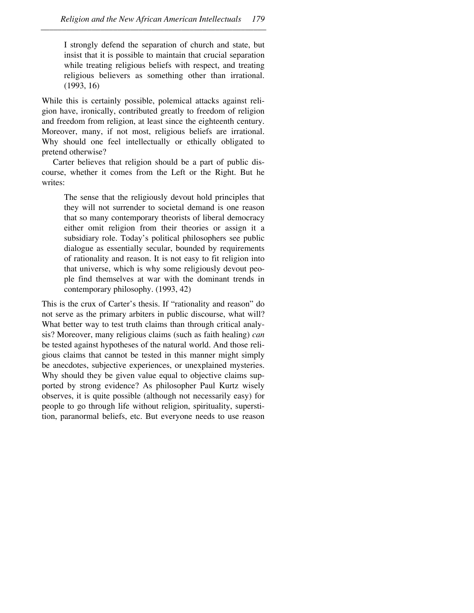I strongly defend the separation of church and state, but insist that it is possible to maintain that crucial separation while treating religious beliefs with respect, and treating religious believers as something other than irrational. (1993, 16)

While this is certainly possible, polemical attacks against religion have, ironically, contributed greatly to freedom of religion and freedom from religion, at least since the eighteenth century. Moreover, many, if not most, religious beliefs are irrational. Why should one feel intellectually or ethically obligated to pretend otherwise?

Carter believes that religion should be a part of public discourse, whether it comes from the Left or the Right. But he writes:

The sense that the religiously devout hold principles that they will not surrender to societal demand is one reason that so many contemporary theorists of liberal democracy either omit religion from their theories or assign it a subsidiary role. Today's political philosophers see public dialogue as essentially secular, bounded by requirements of rationality and reason. It is not easy to fit religion into that universe, which is why some religiously devout people find themselves at war with the dominant trends in contemporary philosophy. (1993, 42)

This is the crux of Carter's thesis. If "rationality and reason" do not serve as the primary arbiters in public discourse, what will? What better way to test truth claims than through critical analysis? Moreover, many religious claims (such as faith healing) *can* be tested against hypotheses of the natural world. And those religious claims that cannot be tested in this manner might simply be anecdotes, subjective experiences, or unexplained mysteries. Why should they be given value equal to objective claims supported by strong evidence? As philosopher Paul Kurtz wisely observes, it is quite possible (although not necessarily easy) for people to go through life without religion, spirituality, superstition, paranormal beliefs, etc. But everyone needs to use reason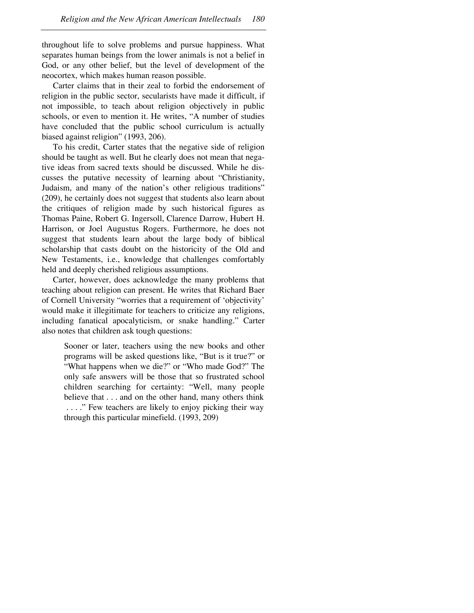throughout life to solve problems and pursue happiness. What separates human beings from the lower animals is not a belief in God, or any other belief, but the level of development of the neocortex, which makes human reason possible.

–––––––––––––––––––––––––––––––––––––––––––––––––––––

Carter claims that in their zeal to forbid the endorsement of religion in the public sector, secularists have made it difficult, if not impossible, to teach about religion objectively in public schools, or even to mention it. He writes, "A number of studies have concluded that the public school curriculum is actually biased against religion" (1993, 206).

To his credit, Carter states that the negative side of religion should be taught as well. But he clearly does not mean that negative ideas from sacred texts should be discussed. While he discusses the putative necessity of learning about "Christianity, Judaism, and many of the nation's other religious traditions" (209), he certainly does not suggest that students also learn about the critiques of religion made by such historical figures as Thomas Paine, Robert G. Ingersoll, Clarence Darrow, Hubert H. Harrison, or Joel Augustus Rogers. Furthermore, he does not suggest that students learn about the large body of biblical scholarship that casts doubt on the historicity of the Old and New Testaments, i.e., knowledge that challenges comfortably held and deeply cherished religious assumptions.

Carter, however, does acknowledge the many problems that teaching about religion can present. He writes that Richard Baer of Cornell University "worries that a requirement of 'objectivity' would make it illegitimate for teachers to criticize any religions, including fanatical apocalyticism, or snake handling." Carter also notes that children ask tough questions:

Sooner or later, teachers using the new books and other programs will be asked questions like, "But is it true?" or "What happens when we die?" or "Who made God?" The only safe answers will be those that so frustrated school children searching for certainty: "Well, many people believe that... and on the other hand, many others think . . . ." Few teachers are likely to enjoy picking their way through this particular minefield. (1993, 209)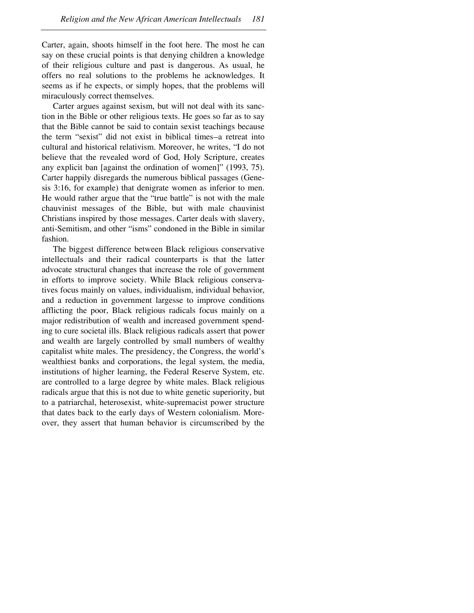Carter, again, shoots himself in the foot here. The most he can say on these crucial points is that denying children a knowledge of their religious culture and past is dangerous. As usual, he offers no real solutions to the problems he acknowledges. It seems as if he expects, or simply hopes, that the problems will miraculously correct themselves.

–––––––––––––––––––––––––––––––––––––––––––––––––––––

Carter argues against sexism, but will not deal with its sanction in the Bible or other religious texts. He goes so far as to say that the Bible cannot be said to contain sexist teachings because the term "sexist" did not exist in biblical times-a retreat into cultural and historical relativism. Moreover, he writes, "I do not believe that the revealed word of God, Holy Scripture, creates any explicit ban [against the ordination of women]" (1993, 75). Carter happily disregards the numerous biblical passages (Genesis 3:16, for example) that denigrate women as inferior to men. He would rather argue that the "true battle" is not with the male chauvinist messages of the Bible, but with male chauvinist Christians inspired by those messages. Carter deals with slavery, anti-Semitism, and other "isms" condoned in the Bible in similar fashion.

The biggest difference between Black religious conservative intellectuals and their radical counterparts is that the latter advocate structural changes that increase the role of government in efforts to improve society. While Black religious conservatives focus mainly on values, individualism, individual behavior, and a reduction in government largesse to improve conditions afflicting the poor, Black religious radicals focus mainly on a major redistribution of wealth and increased government spending to cure societal ills. Black religious radicals assert that power and wealth are largely controlled by small numbers of wealthy capitalist white males. The presidency, the Congress, the world's wealthiest banks and corporations, the legal system, the media, institutions of higher learning, the Federal Reserve System, etc. are controlled to a large degree by white males. Black religious radicals argue that this is not due to white genetic superiority, but to a patriarchal, heterosexist, white-supremacist power structure that dates back to the early days of Western colonialism. Moreover, they assert that human behavior is circumscribed by the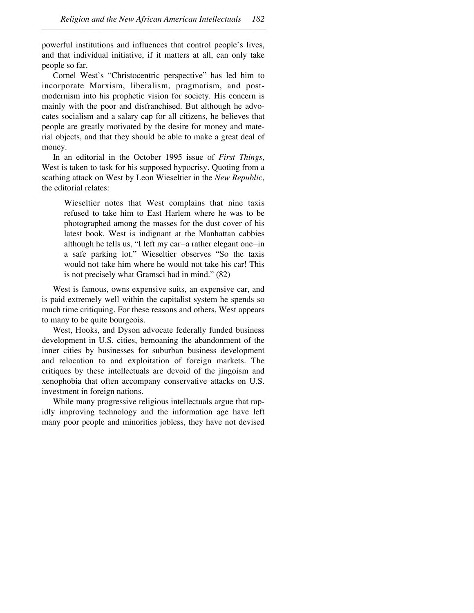powerful institutions and influences that control people's lives, and that individual initiative, if it matters at all, can only take people so far.

–––––––––––––––––––––––––––––––––––––––––––––––––––––

Cornel West's "Christocentric perspective" has led him to incorporate Marxism, liberalism, pragmatism, and postmodernism into his prophetic vision for society. His concern is mainly with the poor and disfranchised. But although he advocates socialism and a salary cap for all citizens, he believes that people are greatly motivated by the desire for money and material objects, and that they should be able to make a great deal of money.

In an editorial in the October 1995 issue of *First Things*, West is taken to task for his supposed hypocrisy. Quoting from a scathing attack on West by Leon Wieseltier in the *New Republic*, the editorial relates:

Wieseltier notes that West complains that nine taxis refused to take him to East Harlem where he was to be photographed among the masses for the dust cover of his latest book. West is indignant at the Manhattan cabbies although he tells us, "I left my car-a rather elegant one-in a safe parking lot." Wieseltier observes "So the taxis would not take him where he would not take his car! This is not precisely what Gramsci had in mind." (82)

West is famous, owns expensive suits, an expensive car, and is paid extremely well within the capitalist system he spends so much time critiquing. For these reasons and others, West appears to many to be quite bourgeois.

West, Hooks, and Dyson advocate federally funded business development in U.S. cities, bemoaning the abandonment of the inner cities by businesses for suburban business development and relocation to and exploitation of foreign markets. The critiques by these intellectuals are devoid of the jingoism and xenophobia that often accompany conservative attacks on U.S. investment in foreign nations.

While many progressive religious intellectuals argue that rapidly improving technology and the information age have left many poor people and minorities jobless, they have not devised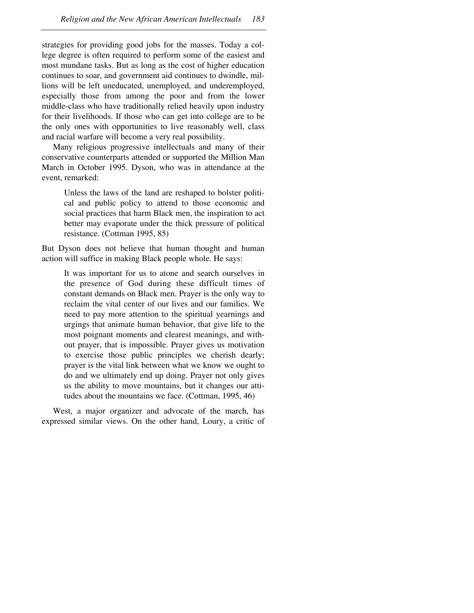strategies for providing good jobs for the masses. Today a college degree is often required to perform some of the easiest and most mundane tasks. But as long as the cost of higher education continues to soar, and government aid continues to dwindle, millions will be left uneducated, unemployed, and underemployed, especially those from among the poor and from the lower middle-class who have traditionally relied heavily upon industry for their livelihoods. If those who can get into college are to be the only ones with opportunities to live reasonably well, class and racial warfare will become a very real possibility.

Many religious progressive intellectuals and many of their conservative counterparts attended or supported the Million Man March in October 1995. Dyson, who was in attendance at the event, remarked:

Unless the laws of the land are reshaped to bolster political and public policy to attend to those economic and social practices that harm Black men, the inspiration to act better may evaporate under the thick pressure of political resistance. (Cottman 1995, 85)

But Dyson does not believe that human thought and human action will suffice in making Black people whole. He says:

It was important for us to atone and search ourselves in the presence of God during these difficult times of constant demands on Black men. Prayer is the only way to reclaim the vital center of our lives and our families. We need to pay more attention to the spiritual yearnings and urgings that animate human behavior, that give life to the most poignant moments and clearest meanings, and without prayer, that is impossible. Prayer gives us motivation to exercise those public principles we cherish dearly; prayer is the vital link between what we know we ought to do and we ultimately end up doing. Prayer not only gives us the ability to move mountains, but it changes our attitudes about the mountains we face. (Cottman, 1995, 46)

West, a major organizer and advocate of the march, has expressed similar views. On the other hand, Loury, a critic of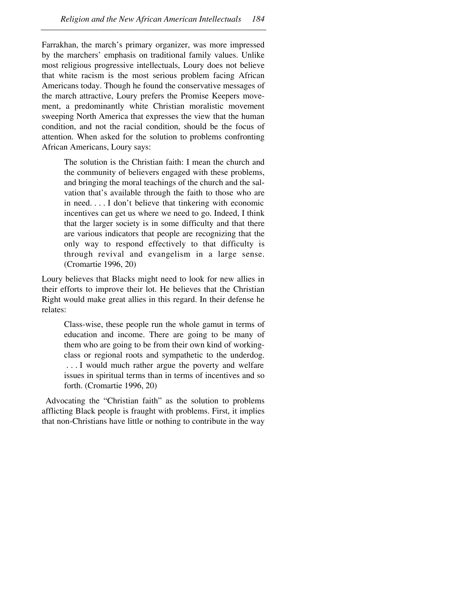Farrakhan, the march's primary organizer, was more impressed by the marchers' emphasis on traditional family values. Unlike most religious progressive intellectuals, Loury does not believe that white racism is the most serious problem facing African Americans today. Though he found the conservative messages of the march attractive, Loury prefers the Promise Keepers movement, a predominantly white Christian moralistic movement sweeping North America that expresses the view that the human condition, and not the racial condition, should be the focus of attention. When asked for the solution to problems confronting African Americans, Loury says:

The solution is the Christian faith: I mean the church and the community of believers engaged with these problems, and bringing the moral teachings of the church and the salvation that's available through the faith to those who are in need. . . . I don't believe that tinkering with economic incentives can get us where we need to go. Indeed, I think that the larger society is in some difficulty and that there are various indicators that people are recognizing that the only way to respond effectively to that difficulty is through revival and evangelism in a large sense. (Cromartie 1996, 20)

Loury believes that Blacks might need to look for new allies in their efforts to improve their lot. He believes that the Christian Right would make great allies in this regard. In their defense he relates:

Class-wise, these people run the whole gamut in terms of education and income. There are going to be many of them who are going to be from their own kind of workingclass or regional roots and sympathetic to the underdog. . . . I would much rather argue the poverty and welfare issues in spiritual terms than in terms of incentives and so forth. (Cromartie 1996, 20)

 Advocating the "Christian faith" as the solution to problems afflicting Black people is fraught with problems. First, it implies that non-Christians have little or nothing to contribute in the way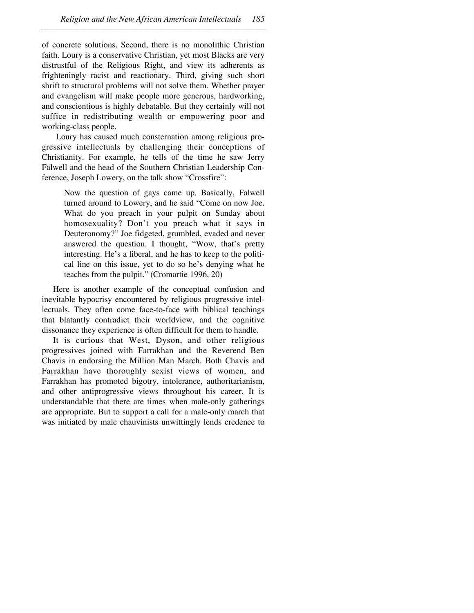of concrete solutions. Second, there is no monolithic Christian faith. Loury is a conservative Christian, yet most Blacks are very distrustful of the Religious Right, and view its adherents as frighteningly racist and reactionary. Third, giving such short shrift to structural problems will not solve them. Whether prayer and evangelism will make people more generous, hardworking, and conscientious is highly debatable. But they certainly will not suffice in redistributing wealth or empowering poor and working-class people.

 Loury has caused much consternation among religious progressive intellectuals by challenging their conceptions of Christianity. For example, he tells of the time he saw Jerry Falwell and the head of the Southern Christian Leadership Conference, Joseph Lowery, on the talk show "Crossfire":

Now the question of gays came up. Basically, Falwell turned around to Lowery, and he said "Come on now Joe. What do you preach in your pulpit on Sunday about homosexuality? Don't you preach what it says in Deuteronomy?" Joe fidgeted, grumbled, evaded and never answered the question. I thought, "Wow, that's pretty interesting. He's a liberal, and he has to keep to the political line on this issue, yet to do so he's denying what he teaches from the pulpit." (Cromartie 1996, 20)

Here is another example of the conceptual confusion and inevitable hypocrisy encountered by religious progressive intellectuals. They often come face-to-face with biblical teachings that blatantly contradict their worldview, and the cognitive dissonance they experience is often difficult for them to handle.

It is curious that West, Dyson, and other religious progressives joined with Farrakhan and the Reverend Ben Chavis in endorsing the Million Man March. Both Chavis and Farrakhan have thoroughly sexist views of women, and Farrakhan has promoted bigotry, intolerance, authoritarianism, and other antiprogressive views throughout his career. It is understandable that there are times when male-only gatherings are appropriate. But to support a call for a male-only march that was initiated by male chauvinists unwittingly lends credence to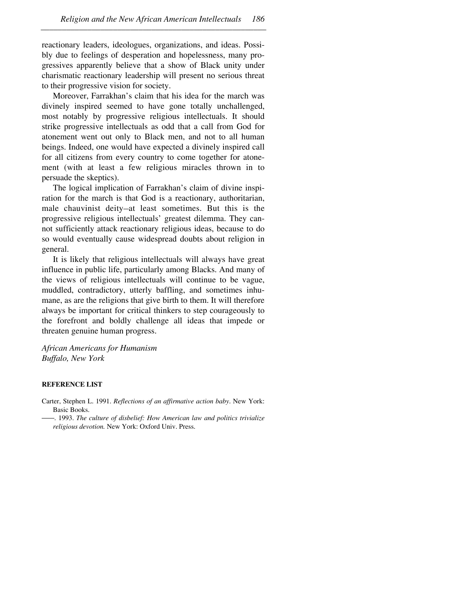reactionary leaders, ideologues, organizations, and ideas. Possibly due to feelings of desperation and hopelessness, many progressives apparently believe that a show of Black unity under charismatic reactionary leadership will present no serious threat to their progressive vision for society.

–––––––––––––––––––––––––––––––––––––––––––––––––––––

Moreover, Farrakhan's claim that his idea for the march was divinely inspired seemed to have gone totally unchallenged, most notably by progressive religious intellectuals. It should strike progressive intellectuals as odd that a call from God for atonement went out only to Black men, and not to all human beings. Indeed, one would have expected a divinely inspired call for all citizens from every country to come together for atonement (with at least a few religious miracles thrown in to persuade the skeptics).

The logical implication of Farrakhan's claim of divine inspiration for the march is that God is a reactionary, authoritarian, male chauvinist deity-at least sometimes. But this is the progressive religious intellectuals' greatest dilemma. They cannot sufficiently attack reactionary religious ideas, because to do so would eventually cause widespread doubts about religion in general.

It is likely that religious intellectuals will always have great influence in public life, particularly among Blacks. And many of the views of religious intellectuals will continue to be vague, muddled, contradictory, utterly baffling, and sometimes inhumane, as are the religions that give birth to them. It will therefore always be important for critical thinkers to step courageously to the forefront and boldly challenge all ideas that impede or threaten genuine human progress.

*African Americans for Humanism Buffalo, New York*

## **REFERENCE LIST**

Carter, Stephen L. 1991. *Reflections of an affirmative action baby*. New York: Basic Books.

<sup>. 1993.</sup> *The culture of disbelief: How American law and politics trivialize religious devotion.* New York: Oxford Univ. Press.